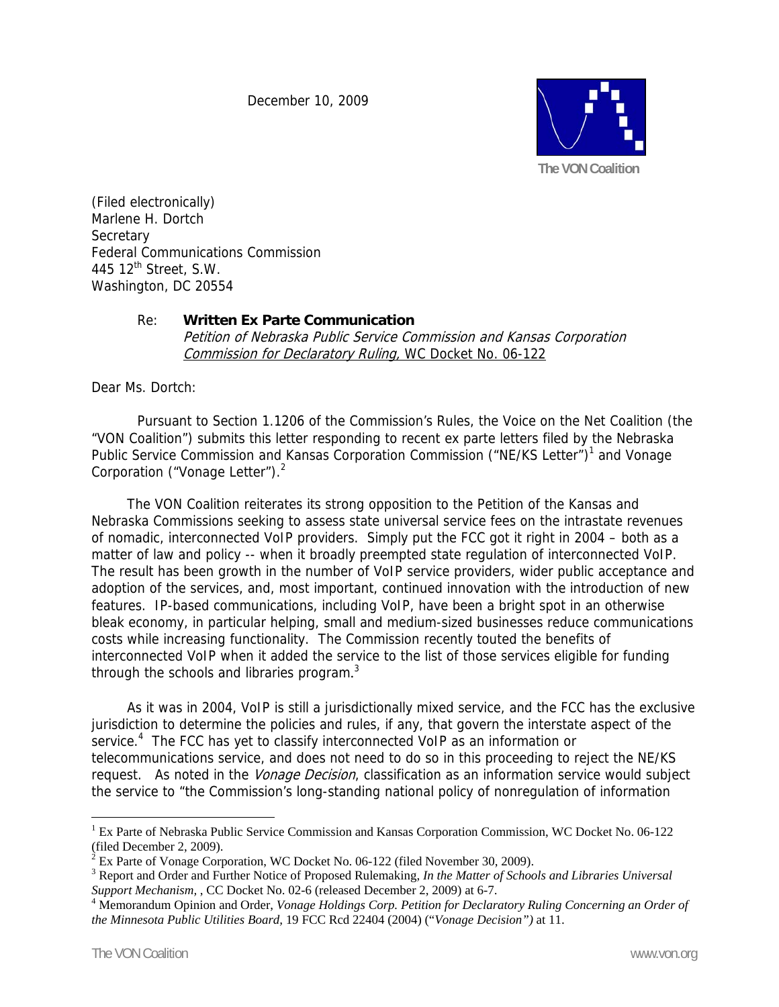December 10, 2009



(Filed electronically) Marlene H. Dortch **Secretary** Federal Communications Commission 445 12<sup>th</sup> Street, S.W. Washington, DC 20554

## Re: **Written Ex Parte Communication**

Petition of Nebraska Public Service Commission and Kansas Corporation Commission for Declaratory Ruling, WC Docket No. 06-122

Dear Ms. Dortch:

Pursuant to Section 1.1206 of the Commission's Rules, the Voice on the Net Coalition (the "VON Coalition") submits this letter responding to recent ex parte letters filed by the Nebraska Public Service Commission and Kansas Corporation Commission ("NE/KS Letter")<sup>1</sup> and Vonage Corporation ("Vonage Letter").<sup>2</sup>

 The VON Coalition reiterates its strong opposition to the Petition of the Kansas and Nebraska Commissions seeking to assess state universal service fees on the intrastate revenues of nomadic, interconnected VoIP providers. Simply put the FCC got it right in 2004 – both as a matter of law and policy -- when it broadly preempted state regulation of interconnected VoIP. The result has been growth in the number of VoIP service providers, wider public acceptance and adoption of the services, and, most important, continued innovation with the introduction of new features. IP-based communications, including VoIP, have been a bright spot in an otherwise bleak economy, in particular helping, small and medium-sized businesses reduce communications costs while increasing functionality. The Commission recently touted the benefits of interconnected VoIP when it added the service to the list of those services eligible for funding through the schools and libraries program.<sup>3</sup>

 As it was in 2004, VoIP is still a jurisdictionally mixed service, and the FCC has the exclusive jurisdiction to determine the policies and rules, if any, that govern the interstate aspect of the service.<sup>4</sup> The FCC has yet to classify interconnected VoIP as an information or telecommunications service, and does not need to do so in this proceeding to reject the NE/KS request. As noted in the *Vonage Decision*, classification as an information service would subject the service to "the Commission's long-standing national policy of nonregulation of information

 $\overline{a}$ 

<sup>&</sup>lt;sup>1</sup> Ex Parte of Nebraska Public Service Commission and Kansas Corporation Commission, WC Docket No. 06-122 (filed December 2, 2009).

 $2^{2}$  Ex Parte of Vonage Corporation, WC Docket No. 06-122 (filed November 30, 2009).

<sup>3</sup> Report and Order and Further Notice of Proposed Rulemaking, *In the Matter of Schools and Libraries Universal Support Mechanism,* , CC Docket No. 02-6 (released December 2, 2009) at 6-7. 4

<sup>&</sup>lt;sup>4</sup> Memorandum Opinion and Order, *Vonage Holdings Corp. Petition for Declaratory Ruling Concerning an Order of the Minnesota Public Utilities Board,* 19 FCC Rcd 22404 (2004) ("*Vonage Decision")* at 11.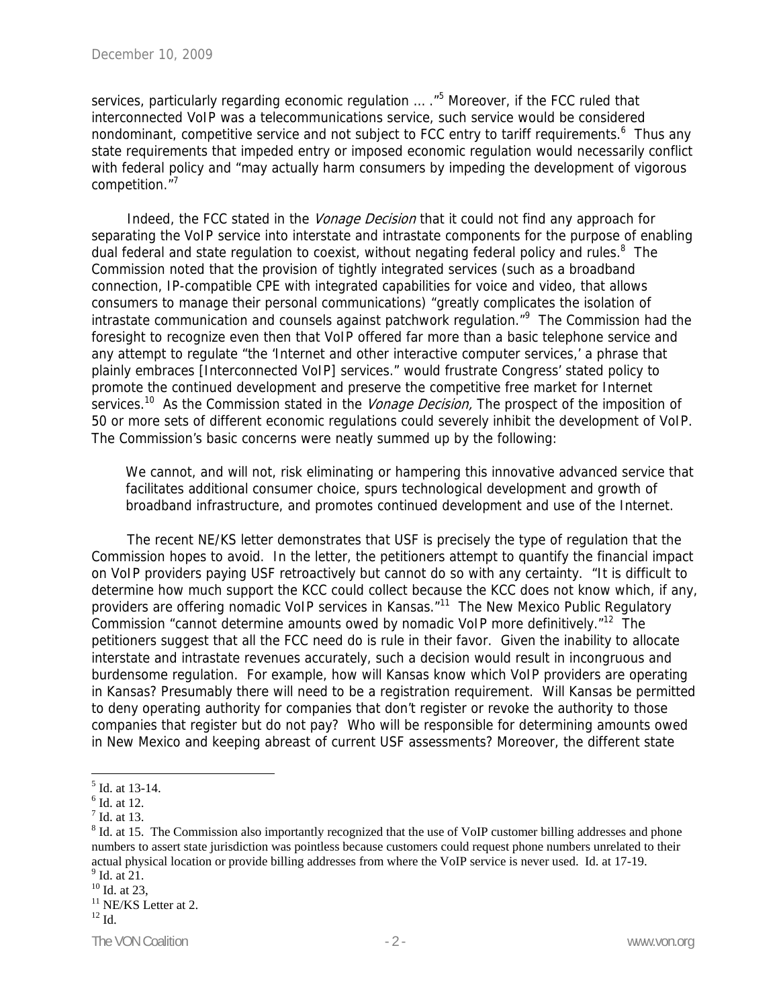services, particularly regarding economic regulation ... ."<sup>5</sup> Moreover, if the FCC ruled that interconnected VoIP was a telecommunications service, such service would be considered nondominant, competitive service and not subject to FCC entry to tariff requirements.<sup>6</sup> Thus any state requirements that impeded entry or imposed economic regulation would necessarily conflict with federal policy and "may actually harm consumers by impeding the development of vigorous competition."<sup>7</sup>

Indeed, the FCC stated in the Vonage Decision that it could not find any approach for separating the VoIP service into interstate and intrastate components for the purpose of enabling dual federal and state regulation to coexist, without negating federal policy and rules.<sup>8</sup> The Commission noted that the provision of tightly integrated services (such as a broadband connection, IP-compatible CPE with integrated capabilities for voice and video, that allows consumers to manage their personal communications) "greatly complicates the isolation of intrastate communication and counsels against patchwork regulation."<sup>9</sup> The Commission had the foresight to recognize even then that VoIP offered far more than a basic telephone service and any attempt to regulate "the 'Internet and other interactive computer services,' a phrase that plainly embraces [Interconnected VoIP] services." would frustrate Congress' stated policy to promote the continued development and preserve the competitive free market for Internet services.<sup>10</sup> As the Commission stated in the *Vonage Decision*, The prospect of the imposition of 50 or more sets of different economic regulations could severely inhibit the development of VoIP. The Commission's basic concerns were neatly summed up by the following:

We cannot, and will not, risk eliminating or hampering this innovative advanced service that facilitates additional consumer choice, spurs technological development and growth of broadband infrastructure, and promotes continued development and use of the Internet.

 The recent NE/KS letter demonstrates that USF is precisely the type of regulation that the Commission hopes to avoid. In the letter, the petitioners attempt to quantify the financial impact on VoIP providers paying USF retroactively but cannot do so with any certainty. "It is difficult to determine how much support the KCC could collect because the KCC does not know which, if any, providers are offering nomadic VoIP services in Kansas."<sup>11</sup> The New Mexico Public Regulatory Commission "cannot determine amounts owed by nomadic VoIP more definitively."12 The petitioners suggest that all the FCC need do is rule in their favor. Given the inability to allocate interstate and intrastate revenues accurately, such a decision would result in incongruous and burdensome regulation. For example, how will Kansas know which VoIP providers are operating in Kansas? Presumably there will need to be a registration requirement. Will Kansas be permitted to deny operating authority for companies that don't register or revoke the authority to those companies that register but do not pay? Who will be responsible for determining amounts owed in New Mexico and keeping abreast of current USF assessments? Moreover, the different state

 $\overline{a}$ 

 $<sup>5</sup>$  Id. at 13-14.</sup>

<sup>6</sup> Id. at 12.

<sup>7</sup> Id. at 13.

 $8$  Id. at 15. The Commission also importantly recognized that the use of VoIP customer billing addresses and phone numbers to assert state jurisdiction was pointless because customers could request phone numbers unrelated to their actual physical location or provide billing addresses from where the VoIP service is never used. Id. at 17-19.  $<sup>9</sup>$  Id. at 21.</sup>

 $10$  Id. at 23,

 $11$  NE/KS Letter at 2.

 $12$  Id.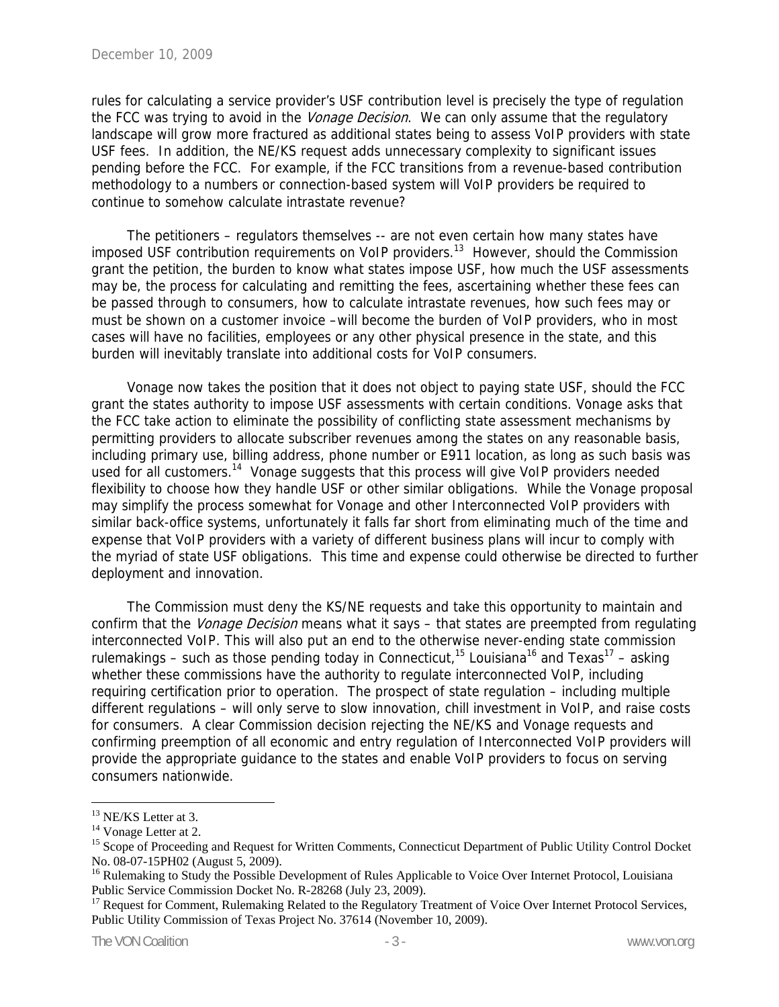rules for calculating a service provider's USF contribution level is precisely the type of regulation the FCC was trying to avoid in the *Vonage Decision*. We can only assume that the regulatory landscape will grow more fractured as additional states being to assess VoIP providers with state USF fees. In addition, the NE/KS request adds unnecessary complexity to significant issues pending before the FCC. For example, if the FCC transitions from a revenue-based contribution methodology to a numbers or connection-based system will VoIP providers be required to continue to somehow calculate intrastate revenue?

 The petitioners – regulators themselves -- are not even certain how many states have imposed USF contribution requirements on VoIP providers.<sup>13</sup> However, should the Commission grant the petition, the burden to know what states impose USF, how much the USF assessments may be, the process for calculating and remitting the fees, ascertaining whether these fees can be passed through to consumers, how to calculate intrastate revenues, how such fees may or must be shown on a customer invoice –will become the burden of VoIP providers, who in most cases will have no facilities, employees or any other physical presence in the state, and this burden will inevitably translate into additional costs for VoIP consumers.

 Vonage now takes the position that it does not object to paying state USF, should the FCC grant the states authority to impose USF assessments with certain conditions. Vonage asks that the FCC take action to eliminate the possibility of conflicting state assessment mechanisms by permitting providers to allocate subscriber revenues among the states on any reasonable basis, including primary use, billing address, phone number or E911 location, as long as such basis was used for all customers.<sup>14</sup> Vonage suggests that this process will give VoIP providers needed flexibility to choose how they handle USF or other similar obligations. While the Vonage proposal may simplify the process somewhat for Vonage and other Interconnected VoIP providers with similar back-office systems, unfortunately it falls far short from eliminating much of the time and expense that VoIP providers with a variety of different business plans will incur to comply with the myriad of state USF obligations. This time and expense could otherwise be directed to further deployment and innovation.

 The Commission must deny the KS/NE requests and take this opportunity to maintain and confirm that the *Vonage Decision* means what it says – that states are preempted from regulating interconnected VoIP. This will also put an end to the otherwise never-ending state commission rulemakings – such as those pending today in Connecticut,<sup>15</sup> Louisiana<sup>16</sup> and Texas<sup>17</sup> – asking whether these commissions have the authority to regulate interconnected VoIP, including requiring certification prior to operation. The prospect of state regulation – including multiple different regulations – will only serve to slow innovation, chill investment in VoIP, and raise costs for consumers. A clear Commission decision rejecting the NE/KS and Vonage requests and confirming preemption of all economic and entry regulation of Interconnected VoIP providers will provide the appropriate guidance to the states and enable VoIP providers to focus on serving consumers nationwide.

 $\overline{a}$ <sup>13</sup> NE/KS Letter at 3.

<sup>&</sup>lt;sup>14</sup> Vonage Letter at 2.

<sup>&</sup>lt;sup>15</sup> Scope of Proceeding and Request for Written Comments, Connecticut Department of Public Utility Control Docket No. 08-07-15PH02 (August 5, 2009).

<sup>&</sup>lt;sup>16</sup> Rulemaking to Study the Possible Development of Rules Applicable to Voice Over Internet Protocol, Louisiana Public Service Commission Docket No. R-28268 (July 23, 2009).

<sup>&</sup>lt;sup>17</sup> Request for Comment, Rulemaking Related to the Regulatory Treatment of Voice Over Internet Protocol Services, Public Utility Commission of Texas Project No. 37614 (November 10, 2009).